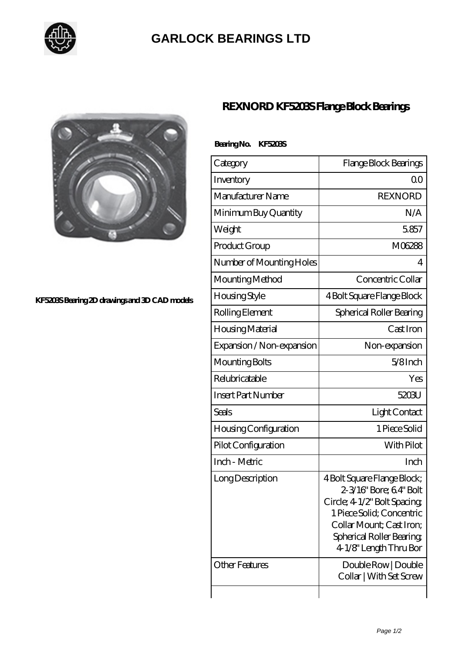

# **[GARLOCK BEARINGS LTD](https://m.letterstopriests.com)**



#### **[KF5203S Bearing 2D drawings and 3D CAD models](https://m.letterstopriests.com/pic-188794.html)**

## **[REXNORD KF5203S Flange Block Bearings](https://m.letterstopriests.com/by-188794-rexnord-kf5203s-flange-block-bearings.html)**

### **Bearing No. KF5203S**

| Category                     | Flange Block Bearings                                                                                                                                                                                |
|------------------------------|------------------------------------------------------------------------------------------------------------------------------------------------------------------------------------------------------|
| Inventory                    | 0 <sup>0</sup>                                                                                                                                                                                       |
| Manufacturer Name            | <b>REXNORD</b>                                                                                                                                                                                       |
| Minimum Buy Quantity         | N/A                                                                                                                                                                                                  |
| Weight                       | 5857                                                                                                                                                                                                 |
| Product Group                | M06288                                                                                                                                                                                               |
| Number of Mounting Holes     | 4                                                                                                                                                                                                    |
| Mounting Method              | Concentric Collar                                                                                                                                                                                    |
| <b>Housing Style</b>         | 4 Bolt Square Flange Block                                                                                                                                                                           |
| Rolling Element              | Spherical Roller Bearing                                                                                                                                                                             |
| Housing Material             | Cast Iron                                                                                                                                                                                            |
| Expansion / Non-expansion    | Non-expansion                                                                                                                                                                                        |
| Mounting Bolts               | $5/8$ Inch                                                                                                                                                                                           |
| Relubricatable               | Yes                                                                                                                                                                                                  |
| <b>Insert Part Number</b>    | 5203U                                                                                                                                                                                                |
| Seals                        | Light Contact                                                                                                                                                                                        |
| <b>Housing Configuration</b> | 1 Piece Solid                                                                                                                                                                                        |
| Pilot Configuration          | With Pilot                                                                                                                                                                                           |
| Inch - Metric                | Inch                                                                                                                                                                                                 |
| Long Description             | 4 Bolt Square Flange Block;<br>2-3/16" Bore; 64" Bolt<br>Circle; 4 1/2" Bolt Spacing;<br>1 Piece Solid; Concentric<br>Collar Mount; Cast Iron;<br>Spherical Roller Bearing<br>4 1/8" Length Thru Bor |
| <b>Other Features</b>        | Double Row   Double<br>Collar   With Set Screw                                                                                                                                                       |
|                              |                                                                                                                                                                                                      |